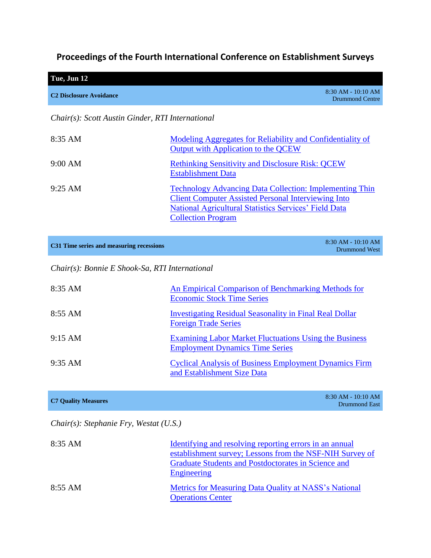# **Proceedings of the Fourth International Conference on Establishment Surveys**

| Tue, Jun 12                    |                                         |
|--------------------------------|-----------------------------------------|
| <b>C2 Disclosure Avoidance</b> | $8:30$ AM - 10:10 AM<br>Drummond Centre |
|                                |                                         |

## *Chair(s): Scott Austin Ginder, RTI International*

| 8:35 AM           | Modeling Aggregates for Reliability and Confidentiality of<br>Output with Application to the QCEW                                                                                                                         |
|-------------------|---------------------------------------------------------------------------------------------------------------------------------------------------------------------------------------------------------------------------|
| 9:00 AM           | <b>Rethinking Sensitivity and Disclosure Risk: QCEW</b><br><b>Establishment Data</b>                                                                                                                                      |
| $9:25 \text{ AM}$ | <b>Technology Advancing Data Collection: Implementing Thin</b><br><b>Client Computer Assisted Personal Interviewing Into</b><br><b>National Agricultural Statistics Services' Field Data</b><br><b>Collection Program</b> |

*Chair(s): Bonnie E Shook-Sa, RTI International*

| $8:35$ AM         | An Empirical Comparison of Benchmarking Methods for<br><b>Economic Stock Time Series</b>         |
|-------------------|--------------------------------------------------------------------------------------------------|
| 8:55 AM           | <b>Investigating Residual Seasonality in Final Real Dollar</b><br><b>Foreign Trade Series</b>    |
| $9:15 \text{ AM}$ | Examining Labor Market Fluctuations Using the Business<br><b>Employment Dynamics Time Series</b> |
| $9:35$ AM         | <b>Cyclical Analysis of Business Employment Dynamics Firm</b><br>and Establishment Size Data     |

**C7 Quality Measures** 8:30 AM - 10:10 AM Drummond East

# *Chair(s): Stephanie Fry, Westat (U.S.)*

| $8:35 \text{ AM}$ | Identifying and resolving reporting errors in an annual<br>establishment survey; Lessons from the NSF-NIH Survey of<br>Graduate Students and Postdoctorates in Science and<br>Engineering |
|-------------------|-------------------------------------------------------------------------------------------------------------------------------------------------------------------------------------------|
| $8:55 \text{ AM}$ | Metrics for Measuring Data Quality at NASS's National<br><b>Operations Center</b>                                                                                                         |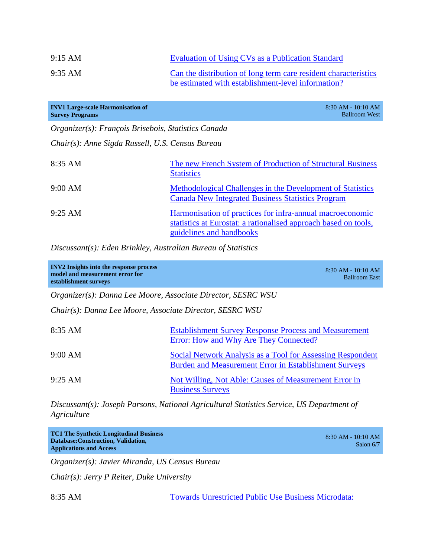| $9:15 \text{ AM}$ | Evaluation of Using CVs as a Publication Standard               |
|-------------------|-----------------------------------------------------------------|
| $9:35 \text{ AM}$ | Can the distribution of long term care resident characteristics |
|                   | be estimated with establishment-level information?              |

| <b>INV1 Large-scale Harmonisation of</b><br><b>Survey Programs</b> | $8:30$ AM - $10:10$ AM<br><b>Ballroom West</b>                                                                                                           |
|--------------------------------------------------------------------|----------------------------------------------------------------------------------------------------------------------------------------------------------|
| Organizer(s): François Brisebois, Statistics Canada                |                                                                                                                                                          |
| Chair(s): Anne Sigda Russell, U.S. Census Bureau                   |                                                                                                                                                          |
| $8:35$ AM                                                          | The new French System of Production of Structural Business<br><b>Statistics</b>                                                                          |
| 9:00 AM                                                            | Methodological Challenges in the Development of Statistics<br><b>Canada New Integrated Business Statistics Program</b>                                   |
| $9:25 \text{ AM}$                                                  | Harmonisation of practices for infra-annual macroeconomic<br>statistics at Eurostat: a rationalised approach based on tools,<br>guidelines and handbooks |

*Discussant(s): Eden Brinkley, Australian Bureau of Statistics*

| <b>INV2</b> Insights into the response process<br>model and measurement error for<br>establishment surveys | $8:30$ AM - $10:10$ AM<br><b>Ballroom East</b>                                                                             |
|------------------------------------------------------------------------------------------------------------|----------------------------------------------------------------------------------------------------------------------------|
| Organizer(s): Danna Lee Moore, Associate Director, SESRC WSU                                               |                                                                                                                            |
| Chair(s): Danna Lee Moore, Associate Director, SESRC WSU                                                   |                                                                                                                            |
| $8:35$ AM                                                                                                  | <b>Establishment Survey Response Process and Measurement</b><br>Error: How and Why Are They Connected?                     |
| 9:00 AM                                                                                                    | Social Network Analysis as a Tool for Assessing Respondent<br><b>Burden and Measurement Error in Establishment Surveys</b> |
| $9:25 \text{ AM}$                                                                                          | Not Willing, Not Able: Causes of Measurement Error in<br><b>Business Surveys</b>                                           |

*Discussant(s): Joseph Parsons, National Agricultural Statistics Service, US Department of Agriculture*

| <b>TC1 The Synthetic Longitudinal Business</b><br>Database: Construction, Validation, | 8:30 AM - 10:10 AM |
|---------------------------------------------------------------------------------------|--------------------|
| <b>Applications and Access</b>                                                        | Salon 6/7          |

*Organizer(s): Javier Miranda, US Census Bureau*

*Chair(s): Jerry P Reiter, Duke University*

8:35 AM [Towards Unrestricted Public Use Business Microdata:](http://www.amstat.org/meetings/ices/2012/AbstractDetails.cfm?AbstractID=301817)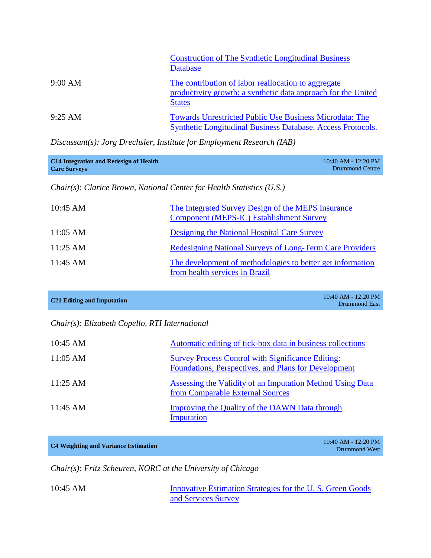|                   | <b>Construction of The Synthetic Longitudinal Business</b><br>Database                                                                |
|-------------------|---------------------------------------------------------------------------------------------------------------------------------------|
| 9:00 AM           | The contribution of labor reallocation to aggregate<br>productivity growth: a synthetic data approach for the United<br><b>States</b> |
| $9:25 \text{ AM}$ | <b>Towards Unrestricted Public Use Business Microdata: The</b><br>Synthetic Longitudinal Business Database. Access Protocols.         |

*Discussant(s): Jorg Drechsler, Institute for Employment Research (IAB)*

| C <sub>14</sub> Integration and Redesign of Health | $10:40$ AM - 12:20 PM |
|----------------------------------------------------|-----------------------|
| <b>Care Surveys</b>                                | Drummond Centre       |

*Chair(s): Clarice Brown, National Center for Health Statistics (U.S.)*

| $10:45 \text{ AM}$ | The Integrated Survey Design of the MEPS Insurance<br><b>Component (MEPS-IC) Establishment Survey</b> |
|--------------------|-------------------------------------------------------------------------------------------------------|
| $11:05$ AM         | Designing the National Hospital Care Survey                                                           |
| $11:25 \text{ AM}$ | <b>Redesigning National Surveys of Long-Term Care Providers</b>                                       |
| $11:45$ AM         | The development of methodologies to better get information<br>from health services in Brazil          |

| C <sub>21</sub> Editing and Imputation | $10:40$ AM - 12:20 PM |
|----------------------------------------|-----------------------|
|                                        | <b>Drummond East</b>  |

### *Chair(s): Elizabeth Copello, RTI International*

| $10:45 \text{ AM}$ | Automatic editing of tick-box data in business collections                                                       |
|--------------------|------------------------------------------------------------------------------------------------------------------|
| $11:05 \text{ AM}$ | <b>Survey Process Control with Significance Editing:</b><br>Foundations, Perspectives, and Plans for Development |
| $11:25 \text{ AM}$ | <b>Assessing the Validity of an Imputation Method Using Data</b><br>from Comparable External Sources             |
| $11:45 \text{ AM}$ | Improving the Quality of the DAWN Data through<br>Imputation                                                     |

# **C4 Weighting and Variance Estimation** 10:40 AM - 12:20 PM

Drummond West

*Chair(s): Fritz Scheuren, NORC at the University of Chicago*

10:45 AM Innovative Estimation Strategies for the U.S. Green Goods [and Services Survey](http://www.amstat.org/meetings/ices/2012/papers/302126.pdf)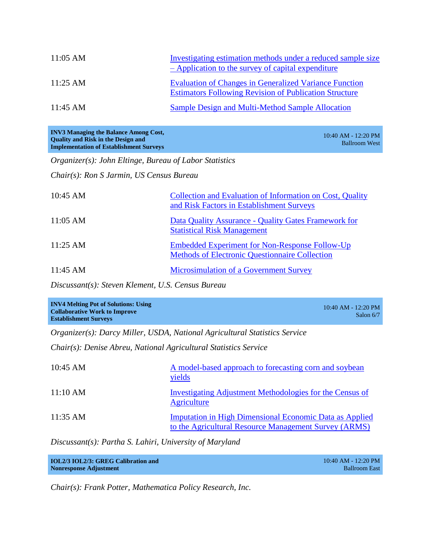| $11:05$ AM         | Investigating estimation methods under a reduced sample size<br>- Application to the survey of capital expenditure             |
|--------------------|--------------------------------------------------------------------------------------------------------------------------------|
| $11:25 \text{ AM}$ | <b>Evaluation of Changes in Generalized Variance Function</b><br><b>Estimators Following Revision of Publication Structure</b> |
| $11:45 \text{ AM}$ | Sample Design and Multi-Method Sample Allocation                                                                               |

| <b>INV3 Managing the Balance Among Cost,</b>   | $10:40$ AM - 12:20 PM |
|------------------------------------------------|-----------------------|
| <b>Ouality and Risk in the Design and</b>      | Ballroom West         |
| <b>Implementation of Establishment Surveys</b> |                       |

*Organizer(s): John Eltinge, Bureau of Labor Statistics*

*Chair(s): Ron S Jarmin, US Census Bureau*

| 10:45 AM           | Collection and Evaluation of Information on Cost, Quality<br>and Risk Factors in Establishment Surveys         |
|--------------------|----------------------------------------------------------------------------------------------------------------|
| $11:05$ AM         | Data Quality Assurance - Quality Gates Framework for<br><b>Statistical Risk Management</b>                     |
| $11:25 \text{ AM}$ | <b>Embedded Experiment for Non-Response Follow-Up</b><br><b>Methods of Electronic Questionnaire Collection</b> |
| $11:45 \text{ AM}$ | <b>Microsimulation of a Government Survey</b>                                                                  |

*Discussant(s): Steven Klement, U.S. Census Bureau*

| <b>INV4 Melting Pot of Solutions: Using</b><br><b>Collaborative Work to Improve</b><br><b>Establishment Surveys</b> | 10:40 AM - 12:20 PM<br>Salon $6/7$ |
|---------------------------------------------------------------------------------------------------------------------|------------------------------------|
|---------------------------------------------------------------------------------------------------------------------|------------------------------------|

*Organizer(s): Darcy Miller, USDA, National Agricultural Statistics Service*

*Chair(s): Denise Abreu, National Agricultural Statistics Service*

| 10:45 AM           | A model-based approach to forecasting corn and soybean<br>yields                                                        |
|--------------------|-------------------------------------------------------------------------------------------------------------------------|
| 11:10 AM           | Investigating Adjustment Methodologies for the Census of<br>Agriculture                                                 |
| $11:35 \text{ AM}$ | <b>Imputation in High Dimensional Economic Data as Applied</b><br>to the Agricultural Resource Management Survey (ARMS) |

*Discussant(s): Partha S. Lahiri, University of Maryland*

| IOL2/3 IOL2/3: GREG Calibration and | $10:40$ AM - 12:20 PM |
|-------------------------------------|-----------------------|
| <b>Nonresponse Adjustment</b>       | <b>Ballroom East</b>  |

*Chair(s): Frank Potter, Mathematica Policy Research, Inc.*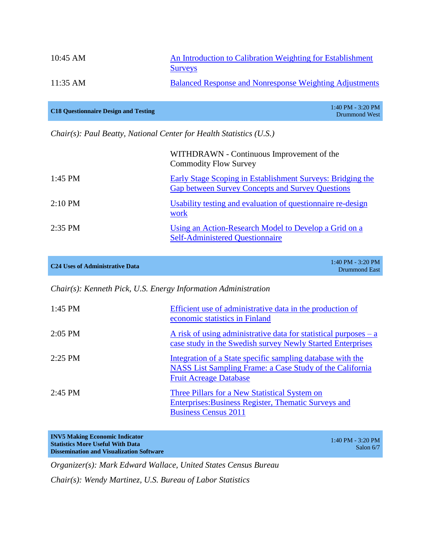| $10:45 \text{ AM}$ | An Introduction to Calibration Weighting for Establishment<br><b>Surveys</b> |
|--------------------|------------------------------------------------------------------------------|
| $11:35 \text{ AM}$ | <b>Balanced Response and Nonresponse Weighting Adjustments</b>               |

| <b>C18 Questionnaire Design and Testing</b> | $1:40$ PM - 3:20 PM |
|---------------------------------------------|---------------------|
|                                             | Drummond West       |

*Chair(s): Paul Beatty, National Center for Health Statistics (U.S.)*

|                   | WITHDRAWN - Continuous Improvement of the<br><b>Commodity Flow Survey</b>                                             |
|-------------------|-----------------------------------------------------------------------------------------------------------------------|
| $1:45$ PM         | Early Stage Scoping in Establishment Surveys: Bridging the<br><b>Gap between Survey Concepts and Survey Questions</b> |
| $2:10 \text{ PM}$ | Usability testing and evaluation of questionnaire re-design<br>work                                                   |
| $2:35$ PM         | Using an Action-Research Model to Develop a Grid on a<br><b>Self-Administered Questionnaire</b>                       |

| $1:40$ PM - 3:20 PM<br>Drummond East |
|--------------------------------------|
|                                      |

*Chair(s): Kenneth Pick, U.S. Energy Information Administration*

| 1:45 PM   | Efficient use of administrative data in the production of<br>economic statistics in Finland                                                             |
|-----------|---------------------------------------------------------------------------------------------------------------------------------------------------------|
| $2:05$ PM | A risk of using administrative data for statistical purposes $-a$<br>case study in the Swedish survey Newly Started Enterprises                         |
| $2:25$ PM | Integration of a State specific sampling database with the<br>NASS List Sampling Frame: a Case Study of the California<br><b>Fruit Acreage Database</b> |
| $2:45$ PM | Three Pillars for a New Statistical System on<br>Enterprises: Business Register, Thematic Surveys and<br><b>Business Census 2011</b>                    |

**INV5 Making Economic Indicator Statistics More Useful With Data Dissemination and Visualization Software**

1:40 PM - 3:20 PM Salon 6/7

*Organizer(s): Mark Edward Wallace, United States Census Bureau*

*Chair(s): Wendy Martinez, U.S. Bureau of Labor Statistics*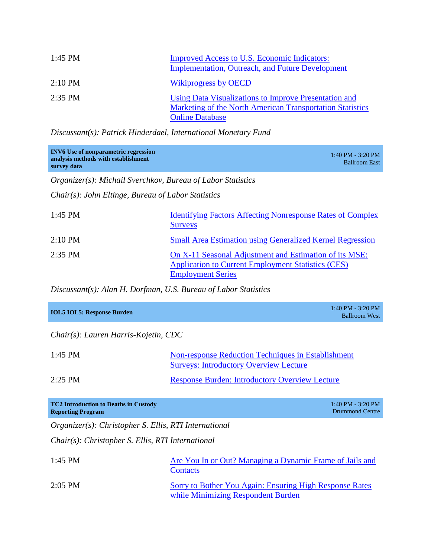| 1:45 PM           | Improved Access to U.S. Economic Indicators:<br><b>Implementation, Outreach, and Future Development</b>                                      |
|-------------------|----------------------------------------------------------------------------------------------------------------------------------------------|
| $2:10 \text{ PM}$ | <b>Wikiprogress by OECD</b>                                                                                                                  |
| $2:35$ PM         | Using Data Visualizations to Improve Presentation and<br>Marketing of the North American Transportation Statistics<br><b>Online Database</b> |

*Discussant(s): Patrick Hinderdael, International Monetary Fund*

| <b>INV6</b> Use of nonparametric regression<br>analysis methods with establishment<br>survey data | $1:40$ PM - 3:20 PM<br><b>Ballroom East</b> |
|---------------------------------------------------------------------------------------------------|---------------------------------------------|
|                                                                                                   |                                             |

*Organizer(s): Michail Sverchkov, Bureau of Labor Statistics*

*Chair(s): John Eltinge, Bureau of Labor Statistics*

| $1:45$ PM         | <b>Identifying Factors Affecting Nonresponse Rates of Complex</b><br><b>Surveys</b>                                                             |
|-------------------|-------------------------------------------------------------------------------------------------------------------------------------------------|
| $2:10 \text{ PM}$ | <b>Small Area Estimation using Generalized Kernel Regression</b>                                                                                |
| $2:35$ PM         | On X-11 Seasonal Adjustment and Estimation of its MSE:<br><b>Application to Current Employment Statistics (CES)</b><br><b>Employment Series</b> |

*Discussant(s): Alan H. Dorfman, U.S. Bureau of Labor Statistics*

| <b>IOL5 IOL5: Response Burden</b> | $1:40$ PM - 3:20 PM<br><b>Ballroom West</b> |
|-----------------------------------|---------------------------------------------|
|                                   |                                             |

*Chair(s): Lauren Harris-Kojetin, CDC*

| $1:45$ PM | <b>Non-response Reduction Techniques in Establishment</b><br><b>Surveys: Introductory Overview Lecture</b> |
|-----------|------------------------------------------------------------------------------------------------------------|
| $2:25$ PM | <b>Response Burden: Introductory Overview Lecture</b>                                                      |

| <b>TC2 Introduction to Deaths in Custody</b> | $1:40$ PM - 3:20 PM |
|----------------------------------------------|---------------------|
| <b>Reporting Program</b>                     | Drummond Centre     |
|                                              |                     |

*Organizer(s): Christopher S. Ellis, RTI International*

*Chair(s): Christopher S. Ellis, RTI International*

| $1:45$ PM | Are You In or Out? Managing a Dynamic Frame of Jails and<br>Contacts                          |
|-----------|-----------------------------------------------------------------------------------------------|
| $2:05$ PM | Sorry to Bother You Again: Ensuring High Response Rates<br>while Minimizing Respondent Burden |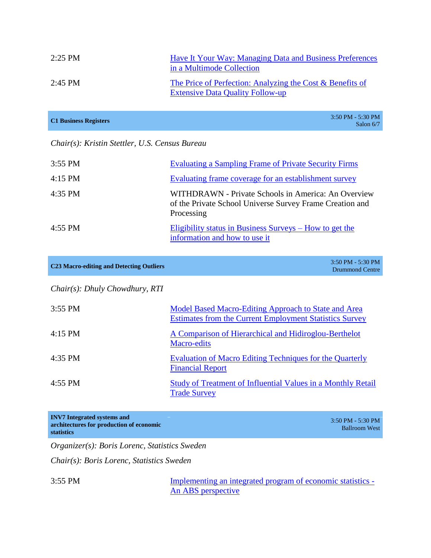| $2:25$ PM | Have It Your Way: Managing Data and Business Preferences<br>in a Multimode Collection                |
|-----------|------------------------------------------------------------------------------------------------------|
| $2:45$ PM | The Price of Perfection: Analyzing the Cost & Benefits of<br><b>Extensive Data Quality Follow-up</b> |

|                              | $3:50$ PM - 5:30 PM |
|------------------------------|---------------------|
| <b>C1 Business Registers</b> | Salon $6/7$         |

#### *Chair(s): Kristin Stettler, U.S. Census Bureau*

| $3:55$ PM | <b>Evaluating a Sampling Frame of Private Security Firms</b>                                                                  |
|-----------|-------------------------------------------------------------------------------------------------------------------------------|
| $4:15$ PM | Evaluating frame coverage for an establishment survey                                                                         |
| $4:35$ PM | WITHDRAWN - Private Schools in America: An Overview<br>of the Private School Universe Survey Frame Creation and<br>Processing |
| $4:55$ PM | Eligibility status in Business Surveys – How to get the<br>information and how to use it                                      |

| <b>C23 Macro-editing and Detecting Outliers</b> | $3:50$ PM - 5:30 PM<br><b>Drummond Centre</b> |
|-------------------------------------------------|-----------------------------------------------|
|                                                 |                                               |

*Chair(s): Dhuly Chowdhury, RTI*

| $3:55$ PM | Model Based Macro-Editing Approach to State and Area<br><b>Estimates from the Current Employment Statistics Survey</b> |
|-----------|------------------------------------------------------------------------------------------------------------------------|
| $4:15$ PM | A Comparison of Hierarchical and Hidiroglou-Berthelot<br>Macro-edits                                                   |
| $4:35$ PM | Evaluation of Macro Editing Techniques for the Quarterly<br><b>Financial Report</b>                                    |
| $4:55$ PM | Study of Treatment of Influential Values in a Monthly Retail<br><b>Trade Survey</b>                                    |

**INV7 Integrated systems and architectures for production of economic statistics**

3:50 PM - 5:30 PM Ballroom West

*Organizer(s): Boris Lorenc, Statistics Sweden*

*Chair(s): Boris Lorenc, Statistics Sweden*

3:55 PM [Implementing an integrated program of economic statistics -](http://www.amstat.org/meetings/ices/2012/papers/302206.pdf) [An ABS perspective](http://www.amstat.org/meetings/ices/2012/papers/302206.pdf)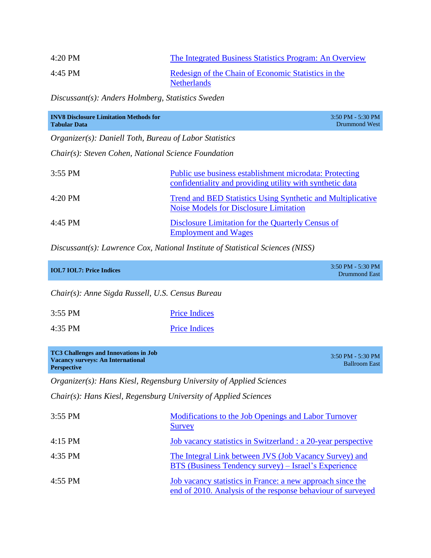| $4:20$ PM | The Integrated Business Statistics Program: An Overview                   |
|-----------|---------------------------------------------------------------------------|
| 4:45 PM   | Redesign of the Chain of Economic Statistics in the<br><b>Netherlands</b> |

*Discussant(s): Anders Holmberg, Statistics Sweden*

| <b>INV8 Disclosure Limitation Methods for</b><br><b>Tabular Data</b> | $3:50$ PM - $5:30$ PM<br>Drummond West                                                                               |
|----------------------------------------------------------------------|----------------------------------------------------------------------------------------------------------------------|
| <i>Organizer(s): Daniell Toth, Bureau of Labor Statistics</i>        |                                                                                                                      |
| Chair(s): Steven Cohen, National Science Foundation                  |                                                                                                                      |
| $3:55$ PM                                                            | Public use business establishment microdata: Protecting<br>confidentiality and providing utility with synthetic data |
| $4:20$ PM                                                            | <b>Trend and BED Statistics Using Synthetic and Multiplicative</b><br><b>Noise Models for Disclosure Limitation</b>  |
| $4:45$ PM                                                            | Disclosure Limitation for the Quarterly Census of<br><b>Employment and Wages</b>                                     |

*Discussant(s): Lawrence Cox, National Institute of Statistical Sciences (NISS)*

| <b>IOL7 IOL7: Price Indices</b> | $3:50$ PM - 5:30 PM<br>Drummond East |
|---------------------------------|--------------------------------------|
|                                 |                                      |

*Chair(s): Anne Sigda Russell, U.S. Census Bureau*

| 3:55 PM   | <b>Price Indices</b> |  |
|-----------|----------------------|--|
| $4:35$ PM | <b>Price Indices</b> |  |

| <b>TC3 Challenges and Innovations in Job</b> | $3:50$ PM - 5:30 PM  |
|----------------------------------------------|----------------------|
| <b>Vacancy surveys: An International</b>     | <b>Ballroom East</b> |
| <b>Perspective</b>                           |                      |

*Organizer(s): Hans Kiesl, Regensburg University of Applied Sciences*

*Chair(s): Hans Kiesl, Regensburg University of Applied Sciences*

| $3:55$ PM | Modifications to the Job Openings and Labor Turnover<br><b>Survey</b>                                                     |
|-----------|---------------------------------------------------------------------------------------------------------------------------|
| $4:15$ PM | Job vacancy statistics in Switzerland : a 20-year perspective                                                             |
| $4:35$ PM | The Integral Link between JVS (Job Vacancy Survey) and<br>BTS (Business Tendency survey) – Israel's Experience            |
| $4:55$ PM | Job vacancy statistics in France: a new approach since the<br>end of 2010. Analysis of the response behaviour of surveyed |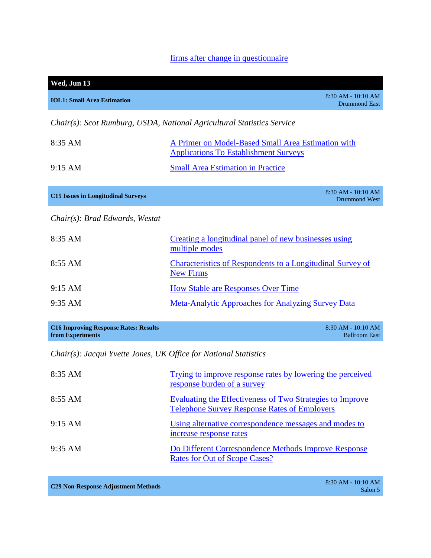# [firms after change in questionnaire](http://www.amstat.org/meetings/ices/2012/papers/302111.pdf)

| Wed, Jun 13                                  |                                                                                                    |
|----------------------------------------------|----------------------------------------------------------------------------------------------------|
| <b>IOL1: Small Area Estimation</b>           | $8:30$ AM - $10:10$ AM<br><b>Drummond East</b>                                                     |
|                                              | Chair(s): Scot Rumburg, USDA, National Agricultural Statistics Service                             |
| $8:35$ AM                                    | A Primer on Model-Based Small Area Estimation with<br><b>Applications To Establishment Surveys</b> |
| $9:15 \text{ AM}$                            | <b>Small Area Estimation in Practice</b>                                                           |
| <b>C15 Issues in Longitudinal Surveys</b>    | 8:30 AM - 10:10 AM<br><b>Drummond West</b>                                                         |
| $Chair(s)$ : Brad Edwards, Westat            |                                                                                                    |
| $8:35$ AM                                    | Creating a longitudinal panel of new businesses using<br>multiple modes                            |
| $8:55$ AM                                    | <b>Characteristics of Respondents to a Longitudinal Survey of</b><br><b>New Firms</b>              |
| $9:15 \text{ AM}$                            | <b>How Stable are Responses Over Time</b>                                                          |
| $9:35$ AM                                    | <b>Meta-Analytic Approaches for Analyzing Survey Data</b>                                          |
| <b>C16 Improving Response Rates: Results</b> | 8:30 AM - 10:10 AM                                                                                 |

*Chair(s): Jacqui Yvette Jones, UK Office for National Statistics*

| 8:35 AM           | Trying to improve response rates by lowering the perceived<br>response burden of a survey                               |
|-------------------|-------------------------------------------------------------------------------------------------------------------------|
| $8:55$ AM         | <b>Evaluating the Effectiveness of Two Strategies to Improve</b><br><b>Telephone Survey Response Rates of Employers</b> |
| $9:15 \text{ AM}$ | Using alternative correspondence messages and modes to<br>increase response rates                                       |
| $9:35$ AM         | Do Different Correspondence Methods Improve Response<br>Rates for Out of Scope Cases?                                   |

**C29 Non-Response Adjustment Methods** 8:30 AM - 10:10 AM

**from Experiments**

Ballroom East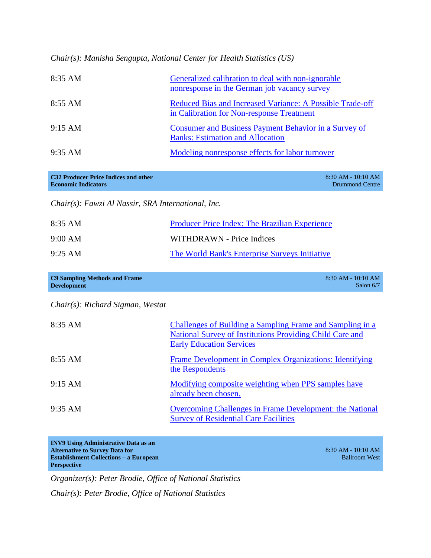*Chair(s): Manisha Sengupta, National Center for Health Statistics (US)*

| $8:35 \text{ AM}$ | Generalized calibration to deal with non-ignorable<br>nonresponse in the German job vacancy survey     |
|-------------------|--------------------------------------------------------------------------------------------------------|
| $8:55 \text{ AM}$ | Reduced Bias and Increased Variance: A Possible Trade-off<br>in Calibration for Non-response Treatment |
| 9:15 AM           | Consumer and Business Payment Behavior in a Survey of<br><b>Banks: Estimation and Allocation</b>       |
| $9:35$ AM         | Modeling nonresponse effects for labor turnover                                                        |

| <b>C32 Producer Price Indices and other</b> | 8:30 AM - 10:10 AM |
|---------------------------------------------|--------------------|
| <b>Economic Indicators</b>                  | Drummond Centre    |

*Chair(s): Fawzi Al Nassir, SRA International, Inc.*

| 8:35 AM           | <b>Producer Price Index: The Brazilian Experience</b> |
|-------------------|-------------------------------------------------------|
| $9:00 \text{ AM}$ | WITHDRAWN - Price Indices                             |
| $9:25 \text{ AM}$ | The World Bank's Enterprise Surveys Initiative        |

| C9 Sampling Methods and Frame | $8:30$ AM - $10:10$ AM |
|-------------------------------|------------------------|
| <b>Development</b>            | Salon $6/7$            |

*Chair(s): Richard Sigman, Westat*

| 8:35 AM           | Challenges of Building a Sampling Frame and Sampling in a<br>National Survey of Institutions Providing Child Care and<br><b>Early Education Services</b> |
|-------------------|----------------------------------------------------------------------------------------------------------------------------------------------------------|
| $8:55 \text{ AM}$ | Frame Development in Complex Organizations: Identifying<br>the Respondents                                                                               |
| $9:15 \text{ AM}$ | Modifying composite weighting when PPS samples have<br>already been chosen.                                                                              |
| $9:35 \text{ AM}$ | <b>Overcoming Challenges in Frame Development: the National</b><br><b>Survey of Residential Care Facilities</b>                                          |

| <b>INV9 Using Administrative Data as an</b>   |                      |
|-----------------------------------------------|----------------------|
| <b>Alternative to Survey Data for</b>         | $8:30$ AM - 10:10 AM |
| <b>Establishment Collections – a European</b> | <b>Ballroom West</b> |
| <b>Perspective</b>                            |                      |

*Organizer(s): Peter Brodie, Office of National Statistics*

*Chair(s): Peter Brodie, Office of National Statistics*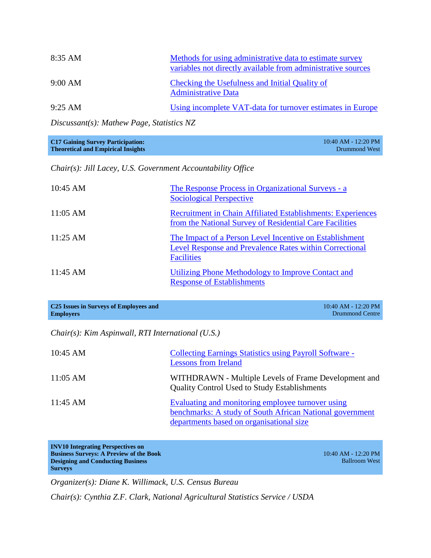| 8:35 AM           | Methods for using administrative data to estimate survey<br>variables not directly available from administrative sources |
|-------------------|--------------------------------------------------------------------------------------------------------------------------|
| 9:00 AM           | Checking the Usefulness and Initial Quality of<br><b>Administrative Data</b>                                             |
| $9:25 \text{ AM}$ | Using incomplete VAT-data for turnover estimates in Europe                                                               |

*Discussant(s): Mathew Page, Statistics NZ*

| <b>C17 Gaining Survey Participation:</b>  | $10:40$ AM - 12:20 PM |
|-------------------------------------------|-----------------------|
| <b>Theoretical and Empirical Insights</b> | Drummond West         |

*Chair(s): Jill Lacey, U.S. Government Accountability Office*

| $10:45 \text{ AM}$ | The Response Process in Organizational Surveys - a<br><b>Sociological Perspective</b>                                                          |
|--------------------|------------------------------------------------------------------------------------------------------------------------------------------------|
| $11:05$ AM         | <b>Recruitment in Chain Affiliated Establishments: Experiences</b><br>from the National Survey of Residential Care Facilities                  |
| $11:25 \text{ AM}$ | The Impact of a Person Level Incentive on Establishment<br><b>Level Response and Prevalence Rates within Correctional</b><br><b>Facilities</b> |
| $11:45$ AM         | Utilizing Phone Methodology to Improve Contact and<br><b>Response of Establishments</b>                                                        |

| C <sub>25</sub> Issues in Surveys of Employees and | $10:40$ AM - 12:20 PM |
|----------------------------------------------------|-----------------------|
| <b>Employers</b>                                   | Drummond Centre       |

*Chair(s): Kim Aspinwall, RTI International (U.S.)*

| $10:45$ AM         | <b>Collecting Earnings Statistics using Payroll Software -</b><br><b>Lessons from Ireland</b>                                                             |
|--------------------|-----------------------------------------------------------------------------------------------------------------------------------------------------------|
| $11:05 \text{ AM}$ | WITHDRAWN - Multiple Levels of Frame Development and<br><b>Quality Control Used to Study Establishments</b>                                               |
| $11:45$ AM         | Evaluating and monitoring employee turnover using<br>benchmarks: A study of South African National government<br>departments based on organisational size |

| <b>INV10 Integrating Perspectives on</b>       |                         |
|------------------------------------------------|-------------------------|
| <b>Business Surveys: A Preview of the Book</b> | $10:40$ AM - $12:20$ PM |
| <b>Designing and Conducting Business</b>       | <b>Ballroom West</b>    |
| <b>Surveys</b>                                 |                         |

*Organizer(s): Diane K. Willimack, U.S. Census Bureau*

*Chair(s): Cynthia Z.F. Clark, National Agricultural Statistics Service / USDA*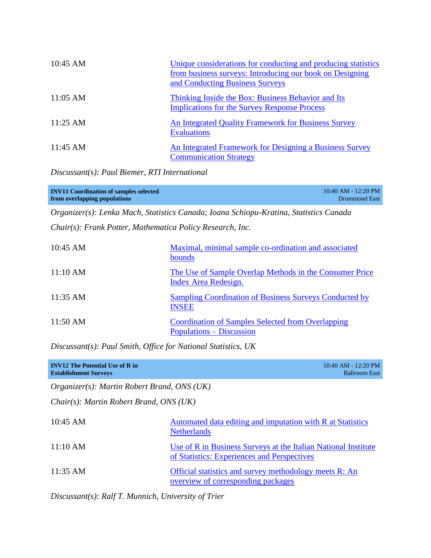| $10:45 \text{ AM}$ | Unique considerations for conducting and producing statistics<br>from business surveys: Introducing our book on Designing<br>and Conducting Business Surveys |
|--------------------|--------------------------------------------------------------------------------------------------------------------------------------------------------------|
| $11:05 \text{ AM}$ | Thinking Inside the Box: Business Behavior and Its<br><b>Implications for the Survey Response Process</b>                                                    |
| $11:25$ AM         | <b>An Integrated Quality Framework for Business Survey</b><br><b>Evaluations</b>                                                                             |
| $11:45$ AM         | An Integrated Framework for Designing a Business Survey<br><b>Communication Strategy</b>                                                                     |

*Discussant(s): Paul Biemer, RTI International*

| <b>INV11 Coordination of samples selected</b> | 10:40 AM - 12:20 PM |
|-----------------------------------------------|---------------------|
| from overlapping populations                  | Drummond East       |
|                                               |                     |

*Organizer(s): Lenka Mach, Statistics Canada; Ioana Schiopu-Kratina, Statistics Canada*

*Chair(s): Frank Potter, Mathematica Policy Research, Inc.*

| 10:45 AM           | Maximal, minimal sample co-ordination and associated<br>bounds                              |
|--------------------|---------------------------------------------------------------------------------------------|
| 11:10 AM           | The Use of Sample Overlap Methods in the Consumer Price<br><b>Index Area Redesign.</b>      |
| $11:35 \text{ AM}$ | <b>Sampling Coordination of Business Surveys Conducted by</b><br><b>INSEE</b>               |
| $11:50 \text{ AM}$ | <b>Coordination of Samples Selected from Overlapping</b><br><b>Populations – Discussion</b> |

*Discussant(s): Paul Smith, Office for National Statistics, UK*

| <b>INV12</b> The Potential Use of R in<br><b>Establishment Surveys</b> |                                                                                                               | 10:40 AM - 12:20 PM<br><b>Ballroom East</b> |
|------------------------------------------------------------------------|---------------------------------------------------------------------------------------------------------------|---------------------------------------------|
| Organizer(s): Martin Robert Brand, ONS (UK)                            |                                                                                                               |                                             |
| <i>Chair(s): Martin Robert Brand, ONS (UK)</i>                         |                                                                                                               |                                             |
| $10:45$ AM                                                             | Automated data editing and imputation with R at Statistics<br><b>Netherlands</b>                              |                                             |
| 11:10 AM                                                               | Use of R in Business Surveys at the Italian National Institute<br>of Statistics: Experiences and Perspectives |                                             |
| $11:35$ AM                                                             | Official statistics and survey methodology meets R: An<br>overview of corresponding packages                  |                                             |

*Discussant(s): Ralf T. Munnich, University of Trier*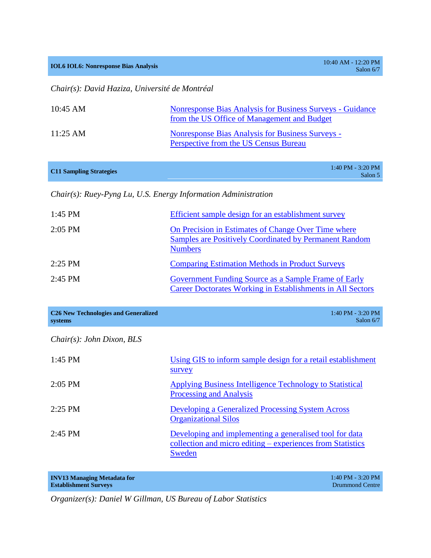**IOL6 IOL6: Nonresponse Bias Analysis** 10:40 AM - 12:20 PM

Salon 6/7

*Chair(s): David Haziza, Université de Montréal*

| $10:45$ AM         | Nonresponse Bias Analysis for Business Surveys - Guidance<br>from the US Office of Management and Budget |
|--------------------|----------------------------------------------------------------------------------------------------------|
| $11:25 \text{ AM}$ | Nonresponse Bias Analysis for Business Surveys -<br>Perspective from the US Census Bureau                |

|                                | $1:40$ PM - 3:20 PM |
|--------------------------------|---------------------|
| <b>C11 Sampling Strategies</b> | $Colon$ 5           |

Salon 5

*Chair(s): Ruey-Pyng Lu, U.S. Energy Information Administration*

| 1:45 PM   | Efficient sample design for an establishment survey                                                                                    |
|-----------|----------------------------------------------------------------------------------------------------------------------------------------|
| $2:05$ PM | On Precision in Estimates of Change Over Time where<br><b>Samples are Positively Coordinated by Permanent Random</b><br><b>Numbers</b> |
| $2:25$ PM | <b>Comparing Estimation Methods in Product Surveys</b>                                                                                 |
| $2:45$ PM | Government Funding Source as a Sample Frame of Early<br>Career Doctorates Working in Establishments in All Sectors                     |

| <b>C26 New Technologies and Generalized</b><br>systems | $1:40$ PM - 3:20 PM<br>Salon $6/7$                                                                                              |
|--------------------------------------------------------|---------------------------------------------------------------------------------------------------------------------------------|
| Chair(s): John Dixon, BLS                              |                                                                                                                                 |
| $1:45$ PM                                              | Using GIS to inform sample design for a retail establishment<br>survey                                                          |
| $2:05$ PM                                              | Applying Business Intelligence Technology to Statistical<br>Processing and Analysis                                             |
| $2:25$ PM                                              | <b>Developing a Generalized Processing System Across</b><br><b>Organizational Silos</b>                                         |
| $2:45$ PM                                              | Developing and implementing a generalised tool for data<br>collection and micro editing – experiences from Statistics<br>Sweden |

| <b>INV13 Managing Metadata for</b> | $1:40$ PM - 3:20 PM |
|------------------------------------|---------------------|
| <b>Establishment Surveys</b>       | Drummond Centre     |

*Organizer(s): Daniel W Gillman, US Bureau of Labor Statistics*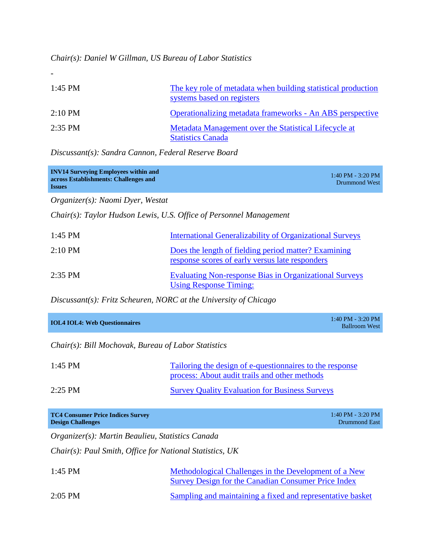*Chair(s): Daniel W Gillman, US Bureau of Labor Statistics*

| $1:45$ PM         | The key role of metadata when building statistical production<br>systems based on registers |
|-------------------|---------------------------------------------------------------------------------------------|
| $2:10 \text{ PM}$ | Operationalizing metadata frameworks - An ABS perspective                                   |
| $2:35$ PM         | Metadata Management over the Statistical Lifecycle at<br><b>Statistics Canada</b>           |

*Discussant(s): Sandra Cannon, Federal Reserve Board*

| <b>INV14 Surveying Employees within and</b><br>across Establishments: Challenges and<br><b>Issues</b> | $1:40$ PM - 3:20 PM<br>Drummond West |
|-------------------------------------------------------------------------------------------------------|--------------------------------------|
|                                                                                                       |                                      |

*Organizer(s): Naomi Dyer, Westat*

-

*Chair(s): Taylor Hudson Lewis, U.S. Office of Personnel Management*

| $1:45$ PM         | <b>International Generalizability of Organizational Surveys</b>                                         |
|-------------------|---------------------------------------------------------------------------------------------------------|
| $2:10 \text{ PM}$ | Does the length of fielding period matter? Examining<br>response scores of early versus late responders |
| $2:35$ PM         | <b>Evaluating Non-response Bias in Organizational Surveys</b><br><b>Using Response Timing:</b>          |

*Discussant(s): Fritz Scheuren, NORC at the University of Chicago*

| <b>IOL4 IOL4: Web Questionnaires</b> | $1:40$ PM - 3:20 PM<br>Ballroom West |
|--------------------------------------|--------------------------------------|
|                                      |                                      |

*Chair(s): Bill Mochovak, Bureau of Labor Statistics*

| $1:45$ PM | Tailoring the design of e-questionnaires to the response<br>process: About audit trails and other methods |
|-----------|-----------------------------------------------------------------------------------------------------------|
| $2:25$ PM | <b>Survey Quality Evaluation for Business Surveys</b>                                                     |

| <b>TC4 Consumer Price Indices Survey</b><br><b>Design Challenges</b> | 1:40 PM - 3:20 PM<br>Drummond East                                                                                  |
|----------------------------------------------------------------------|---------------------------------------------------------------------------------------------------------------------|
| Organizer(s): Martin Beaulieu, Statistics Canada                     |                                                                                                                     |
| Chair(s): Paul Smith, Office for National Statistics, UK             |                                                                                                                     |
| $1:45$ PM                                                            | Methodological Challenges in the Development of a New<br><b>Survey Design for the Canadian Consumer Price Index</b> |

2:05 PM [Sampling and maintaining a fixed and representative basket](http://www.amstat.org/meetings/ices/2012/AbstractDetails.cfm?AbstractID=301916)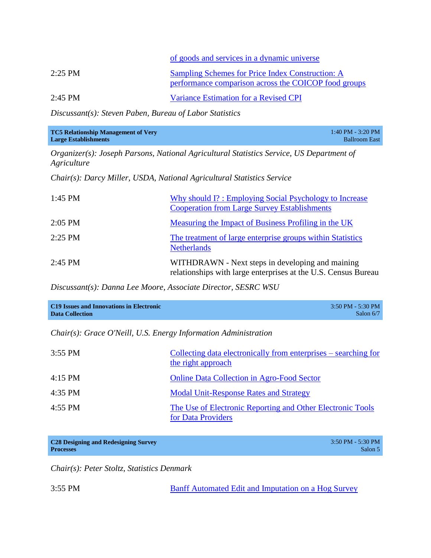|           | of goods and services in a dynamic universe                                                              |
|-----------|----------------------------------------------------------------------------------------------------------|
| $2:25$ PM | Sampling Schemes for Price Index Construction: A<br>performance comparison across the COICOP food groups |
| $2:45$ PM | Variance Estimation for a Revised CPI                                                                    |

*Discussant(s): Steven Paben, Bureau of Labor Statistics*

| <b>TC5 Relationship Management of Very</b> | $1:40$ PM - 3:20 PM  |
|--------------------------------------------|----------------------|
| <b>Large Establishments</b>                | <b>Ballroom East</b> |

*Organizer(s): Joseph Parsons, National Agricultural Statistics Service, US Department of Agriculture*

*Chair(s): Darcy Miller, USDA, National Agricultural Statistics Service*

| $1:45$ PM | Why should I?: Employing Social Psychology to Increase<br><b>Cooperation from Large Survey Establishments</b>      |
|-----------|--------------------------------------------------------------------------------------------------------------------|
| $2:05$ PM | Measuring the Impact of Business Profiling in the UK                                                               |
| $2:25$ PM | The treatment of large enterprise groups within Statistics<br><b>Netherlands</b>                                   |
| $2:45$ PM | WITHDRAWN - Next steps in developing and maining<br>relationships with large enterprises at the U.S. Census Bureau |

*Discussant(s): Danna Lee Moore, Associate Director, SESRC WSU*

| <b>C19 Issues and Innovations in Electronic</b> | $3:50$ PM - 5:30 PM |
|-------------------------------------------------|---------------------|
| <b>Data Collection</b>                          | Salon $6/7$         |

*Chair(s): Grace O'Neill, U.S. Energy Information Administration*

| $3:55$ PM | Collecting data electronically from enterprises – searching for<br>the right approach |
|-----------|---------------------------------------------------------------------------------------|
| $4:15$ PM | <b>Online Data Collection in Agro-Food Sector</b>                                     |
| $4:35$ PM | <b>Modal Unit-Response Rates and Strategy</b>                                         |
| 4:55 PM   | The Use of Electronic Reporting and Other Electronic Tools<br>for Data Providers      |

| <b>C28 Designing and Redesigning Survey</b> | $3:50$ PM - 5:30 PM |
|---------------------------------------------|---------------------|
| <b>Processes</b>                            | Salon 5             |

*Chair(s): Peter Stoltz, Statistics Denmark*

3:55 PM [Banff Automated Edit and Imputation on a Hog Survey](http://www.amstat.org/meetings/ices/2012/papers/302221.pdf)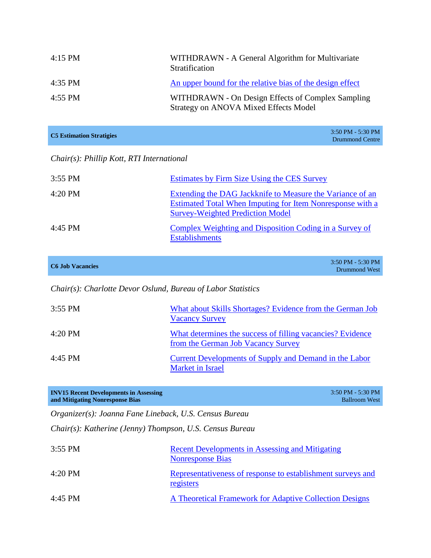| $4:15$ PM | WITHDRAWN - A General Algorithm for Multivariate<br>Stratification                         |
|-----------|--------------------------------------------------------------------------------------------|
| 4:35 PM   | An upper bound for the relative bias of the design effect                                  |
| $4:55$ PM | WITHDRAWN - On Design Effects of Complex Sampling<br>Strategy on ANOVA Mixed Effects Model |

| <b>C5 Estimation Stratigies</b> | $3:50$ PM - 5:30 PM |
|---------------------------------|---------------------|
|                                 | Drummond Centre     |

## *Chair(s): Phillip Kott, RTI International*

| $3:55$ PM | Estimates by Firm Size Using the CES Survey                                                                                                                              |
|-----------|--------------------------------------------------------------------------------------------------------------------------------------------------------------------------|
| $4:20$ PM | Extending the DAG Jackknife to Measure the Variance of an<br><b>Estimated Total When Imputing for Item Nonresponse with a</b><br><b>Survey-Weighted Prediction Model</b> |
| $4:45$ PM | Complex Weighting and Disposition Coding in a Survey of<br><b>Establishments</b>                                                                                         |

| <b>C6 Job Vacancies</b> | $3:50$ PM - 5:30 PM<br>Drummond West |
|-------------------------|--------------------------------------|
|-------------------------|--------------------------------------|

*Chair(s): Charlotte Devor Oslund, Bureau of Labor Statistics*

| $3:55$ PM | What about Skills Shortages? Evidence from the German Job<br><b>Vacancy Survey</b>               |
|-----------|--------------------------------------------------------------------------------------------------|
| $4:20$ PM | What determines the success of filling vacancies? Evidence<br>from the German Job Vacancy Survey |
| $4:45$ PM | Current Developments of Supply and Demand in the Labor<br><b>Market in Israel</b>                |

| <b>INV15 Recent Developments in Assessing</b> | 3:50 PM - 5:30 PM    |
|-----------------------------------------------|----------------------|
| and Mitigating Nonresponse Bias               | <b>Ballroom West</b> |

*Organizer(s): Joanna Fane Lineback, U.S. Census Bureau*

*Chair(s): Katherine (Jenny) Thompson, U.S. Census Bureau*

| $3:55$ PM         | <b>Recent Developments in Assessing and Mitigating</b><br><b>Nonresponse Bias</b> |
|-------------------|-----------------------------------------------------------------------------------|
| $4:20 \text{ PM}$ | Representativeness of response to establishment surveys and<br>registers          |
| 4:45 PM           | A Theoretical Framework for Adaptive Collection Designs                           |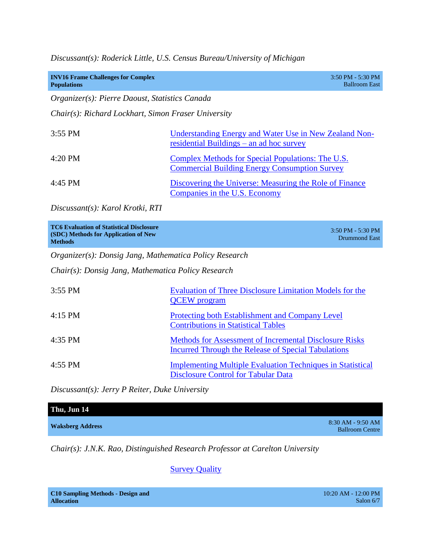*Discussant(s): Roderick Little, U.S. Census Bureau/University of Michigan*

| <b>INV16 Frame Challenges for Complex</b><br><b>Populations</b> | $3:50$ PM - 5:30 PM<br><b>Ballroom East</b> |
|-----------------------------------------------------------------|---------------------------------------------|
| Organizer(s): Pierre Daoust, Statistics Canada                  |                                             |
| Chair(s): Richard Lockhart, Simon Fraser University             |                                             |

| $3:55$ PM | Understanding Energy and Water Use in New Zealand Non-<br>residential Buildings $-$ an ad hoc survey      |
|-----------|-----------------------------------------------------------------------------------------------------------|
| $4:20$ PM | Complex Methods for Special Populations: The U.S.<br><b>Commercial Building Energy Consumption Survey</b> |
| 4:45 PM   | Discovering the Universe: Measuring the Role of Finance<br>Companies in the U.S. Economy                  |

*Discussant(s): Karol Krotki, RTI*

*Organizer(s): Donsig Jang, Mathematica Policy Research*

*Chair(s): Donsig Jang, Mathematica Policy Research*

| $3:55$ PM | <b>Evaluation of Three Disclosure Limitation Models for the</b><br><b>QCEW</b> program                                      |
|-----------|-----------------------------------------------------------------------------------------------------------------------------|
| $4:15$ PM | <b>Protecting both Establishment and Company Level</b><br><b>Contributions in Statistical Tables</b>                        |
| $4:35$ PM | <b>Methods for Assessment of Incremental Disclosure Risks</b><br><b>Incurred Through the Release of Special Tabulations</b> |
| $4:55$ PM | <b>Implementing Multiple Evaluation Techniques in Statistical</b><br><b>Disclosure Control for Tabular Data</b>             |

*Discussant(s): Jerry P Reiter, Duke University*

| Thu, Jun 14             |                        |
|-------------------------|------------------------|
|                         | 8:30 AM - 9:50 AM      |
| <b>Waksberg Address</b> | <b>Ballroom Centre</b> |

*Chair(s): J.N.K. Rao, Distinguished Research Professor at Carelton University*

# **[Survey Quality](http://www.amstat.org/meetings/ices/2012/AbstractDetails.cfm?AbstractID=302296)**

| <b>C10 Sampling Methods - Design and</b> |  |
|------------------------------------------|--|
| <b>Allocation</b>                        |  |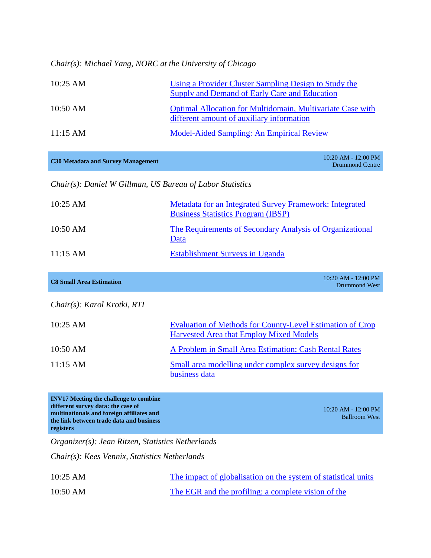*Chair(s): Michael Yang, NORC at the University of Chicago*

| $10:25 \text{ AM}$ | Using a Provider Cluster Sampling Design to Study the<br>Supply and Demand of Early Care and Education         |
|--------------------|----------------------------------------------------------------------------------------------------------------|
| 10:50 AM           | <b>Optimal Allocation for Multidomain, Multivariate Case with</b><br>different amount of auxiliary information |
| $11:15 \text{ AM}$ | Model-Aided Sampling: An Empirical Review                                                                      |

|  | <b>C30 Metadata and Survey Management</b> |
|--|-------------------------------------------|
|  |                                           |

**C30 Metadata and Survey Management** 10:20 AM - 12:00 PM Drummond Centre

*Chair(s): Daniel W Gillman, US Bureau of Labor Statistics*

| $10:25 \text{ AM}$ | <b>Metadata for an Integrated Survey Framework: Integrated</b><br><b>Business Statistics Program (IBSP)</b> |
|--------------------|-------------------------------------------------------------------------------------------------------------|
| 10:50 AM           | The Requirements of Secondary Analysis of Organizational<br>Data                                            |
| $11:15 \text{ AM}$ | <b>Establishment Surveys in Uganda</b>                                                                      |

| <b>C8 Small Area Estimation</b> | $10:20$ AM - $12:00$ PM<br>Drummond West |
|---------------------------------|------------------------------------------|
|                                 |                                          |

*Chair(s): Karol Krotki, RTI*

| $10:25 \text{ AM}$ | <b>Evaluation of Methods for County-Level Estimation of Crop</b><br>Harvested Area that Employ Mixed Models |
|--------------------|-------------------------------------------------------------------------------------------------------------|
| 10:50 AM           | A Problem in Small Area Estimation: Cash Rental Rates                                                       |
| $11:15 \text{ AM}$ | Small area modelling under complex survey designs for<br>business data                                      |

**INV17 Meeting the challenge to combine different survey data: the case of multinationals and foreign affiliates and the link between trade data and business registers**

10:20 AM - 12:00 PM Ballroom West

*Organizer(s): Jean Ritzen, Statistics Netherlands*

*Chair(s): Kees Vennix, Statistics Netherlands*

| $10:25$ AM | The impact of globalisation on the system of statistical units |
|------------|----------------------------------------------------------------|
| $10:50$ AM | The EGR and the profiling: a complete vision of the            |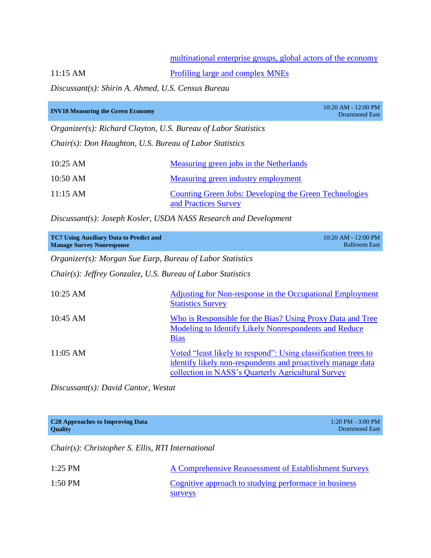#### [multinational enterprise groups, global actors of the economy](http://www.amstat.org/meetings/ices/2012/papers/302168-A.pdf)

11:15 AM [Profiling large and complex MNEs](http://www.amstat.org/meetings/ices/2012/AbstractDetails.cfm?AbstractID=302166)

*Discussant(s): Shirin A. Ahmed, U.S. Census Bureau*

| <b>INV18 Measuring the Green Economy</b>                              |                                                                                | 10:20 AM - 12:00 PM<br>Drummond East |
|-----------------------------------------------------------------------|--------------------------------------------------------------------------------|--------------------------------------|
| <i>Organizer(s): Richard Clayton, U.S. Bureau of Labor Statistics</i> |                                                                                |                                      |
| Chair(s): Don Haughton, U.S. Bureau of Labor Statistics               |                                                                                |                                      |
| $10:25$ AM                                                            | Measuring green jobs in the Netherlands                                        |                                      |
| 10:50 AM                                                              | <b>Measuring green industry employment</b>                                     |                                      |
| $11:15 \text{ AM}$                                                    | Counting Green Jobs: Developing the Green Technologies<br>and Practices Survey |                                      |

*Discussant(s): Joseph Kosler, USDA NASS Research and Development*

| <b>TC7 Using Auxiliary Data to Predict and</b><br><b>Manage Survey Nonresponse</b> |                                                                                                                                                                                            | 10:20 AM - 12:00 PM<br><b>Ballroom East</b> |
|------------------------------------------------------------------------------------|--------------------------------------------------------------------------------------------------------------------------------------------------------------------------------------------|---------------------------------------------|
| <i>Organizer(s): Morgan Sue Earp, Bureau of Labor Statistics</i>                   |                                                                                                                                                                                            |                                             |
| Chair(s): Jeffrey Gonzalez, U.S. Bureau of Labor Statistics                        |                                                                                                                                                                                            |                                             |
| $10:25$ AM                                                                         | Adjusting for Non-response in the Occupational Employment<br><b>Statistics Survey</b>                                                                                                      |                                             |
| 10:45 AM                                                                           | Who is Responsible for the Bias? Using Proxy Data and Tree<br>Modeling to Identify Likely Nonrespondents and Reduce<br><b>Bias</b>                                                         |                                             |
| $11:05 \text{ AM}$                                                                 | <u>Voted "least likely to respond": Using classification trees to</u><br>identify likely non-respondents and proactively manage data<br>collection in NASS's Quarterly Agricultural Survey |                                             |

*Discussant(s): David Cantor, Westat*

| C <sub>20</sub> Approaches to Improving Data<br><b>Quality</b> | $1:20$ PM - 3:00 PM<br>Drummond East                  |
|----------------------------------------------------------------|-------------------------------------------------------|
| $Chair(s)$ : Christopher S. Ellis, RTI International           |                                                       |
| $1:25$ PM                                                      | A Comprehensive Reassessment of Establishment Surveys |
| 1:50 PM                                                        | Cognitive approach to studying performace in business |

[surveys](http://www.amstat.org/meetings/ices/2012/AbstractDetails.cfm?AbstractID=301974)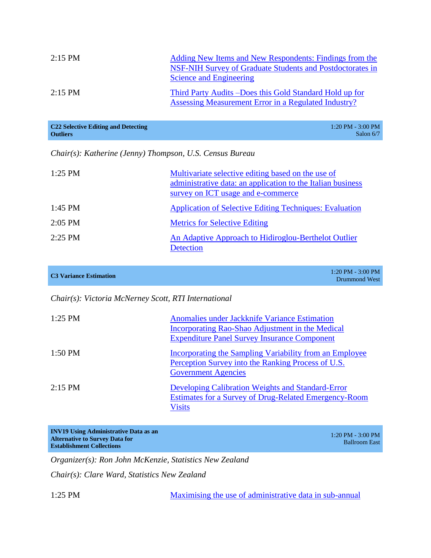| $2:15$ PM | Adding New Items and New Respondents: Findings from the<br>NSF-NIH Survey of Graduate Students and Postdoctorates in<br>Science and Engineering |
|-----------|-------------------------------------------------------------------------------------------------------------------------------------------------|
| $2:15$ PM | Third Party Audits –Does this Gold Standard Hold up for<br><b>Assessing Measurement Error in a Regulated Industry?</b>                          |

| C <sub>22</sub> Selective Editing and Detecting | $1:20$ PM - 3:00 PM |
|-------------------------------------------------|---------------------|
| <b>Outliers</b>                                 | Salon $6/7$         |

*Chair(s): Katherine (Jenny) Thompson, U.S. Census Bureau*

| $1:25$ PM | Multivariate selective editing based on the use of<br>administrative data: an application to the Italian business<br>survey on ICT usage and e-commerce |
|-----------|---------------------------------------------------------------------------------------------------------------------------------------------------------|
| $1:45$ PM | <b>Application of Selective Editing Techniques: Evaluation</b>                                                                                          |
| $2:05$ PM | <b>Metrics for Selective Editing</b>                                                                                                                    |
| $2:25$ PM | An Adaptive Approach to Hidiroglou-Berthelot Outlier<br>Detection                                                                                       |

| $1:20$ PM - 3:00 PM<br><b>C3 Variance Estimation</b><br>Drummond West |
|-----------------------------------------------------------------------|
|-----------------------------------------------------------------------|

#### *Chair(s): Victoria McNerney Scott, RTI International*

| $1:25$ PM | Anomalies under Jackknife Variance Estimation<br>Incorporating Rao-Shao Adjustment in the Medical<br><b>Expenditure Panel Survey Insurance Component</b> |
|-----------|----------------------------------------------------------------------------------------------------------------------------------------------------------|
| $1:50$ PM | Incorporating the Sampling Variability from an Employee<br>Perception Survey into the Ranking Process of U.S.<br><b>Government Agencies</b>              |
| $2:15$ PM | Developing Calibration Weights and Standard-Error<br><b>Estimates for a Survey of Drug-Related Emergency-Room</b><br><b>Visits</b>                       |

| <b>INV19 Using Administrative Data as an</b> | $1:20$ PM - 3:00 PM  |
|----------------------------------------------|----------------------|
| <b>Alternative to Survey Data for</b>        | <b>Ballroom East</b> |
| <b>Establishment Collections</b>             |                      |

*Organizer(s): Ron John McKenzie, Statistics New Zealand*

*Chair(s): Clare Ward, Statistics New Zealand*

1:25 PM Maximising the use of administrative data in sub-annual